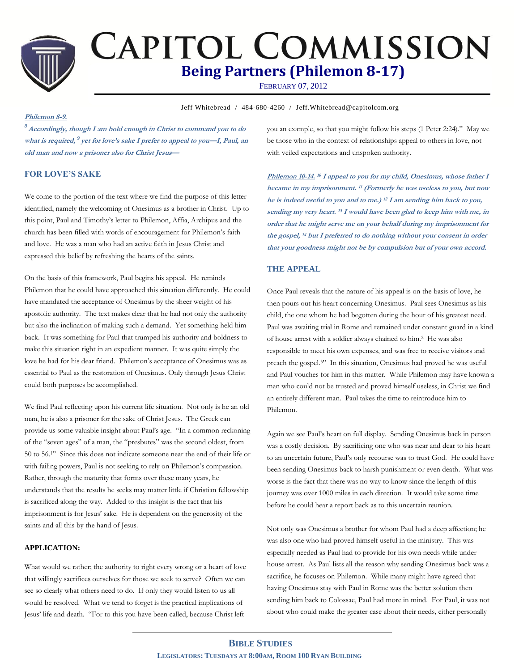

# **CAPITOL COMMISSION Being Partners (Philemon 8-17)**

FEBRUARY 07, 2012

**Jeff Whitebread / 484-680-4260 / Jeff.Whitebread@capitolcom.org** 

### **Philemon 8-9.**

*<sup>8</sup>* **Accordingly, though I am bold enough in Christ to command you to do what is required,**  *9* **yet for love's sake I prefer to appeal to you—I, Paul, an old man and now a prisoner also for Christ Jesus—**

# **FOR LOVE'S SAKE**

We come to the portion of the text where we find the purpose of this letter identified, namely the welcoming of Onesimus as a brother in Christ. Up to this point, Paul and Timothy's letter to Philemon, Affia, Archipus and the church has been filled with words of encouragement for Philemon's faith and love. He was a man who had an active faith in Jesus Christ and expressed this belief by refreshing the hearts of the saints.

On the basis of this framework, Paul begins his appeal. He reminds Philemon that he could have approached this situation differently. He could have mandated the acceptance of Onesimus by the sheer weight of his apostolic authority. The text makes clear that he had not only the authority but also the inclination of making such a demand. Yet something held him back. It was something for Paul that trumped his authority and boldness to make this situation right in an expedient manner. It was quite simply the love he had for his dear friend. Philemon's acceptance of Onesimus was as essential to Paul as the restoration of Onesimus. Only through Jesus Christ could both purposes be accomplished.

We find Paul reflecting upon his current life situation. Not only is he an old man, he is also a prisoner for the sake of Christ Jesus. The Greek can provide us some valuable insight about Paul's age. "In a common reckoning of the "seven ages" of a man, the "presbutes" was the second oldest, from 50 to 56.1" Since this does not indicate someone near the end of their life or with failing powers, Paul is not seeking to rely on Philemon's compassion. Rather, through the maturity that forms over these many years, he understands that the results he seeks may matter little if Christian fellowship is sacrificed along the way. Added to this insight is the fact that his imprisonment is for Jesus' sake. He is dependent on the generosity of the saints and all this by the hand of Jesus.

# **APPLICATION:**

What would we rather; the authority to right every wrong or a heart of love that willingly sacrifices ourselves for those we seek to serve? Often we can see so clearly what others need to do. If only they would listen to us all would be resolved. What we tend to forget is the practical implications of Jesus' life and death. "For to this you have been called, because Christ left

you an example, so that you might follow his steps (1 Peter 2:24)." May we be those who in the context of relationships appeal to others in love, not with veiled expectations and unspoken authority.

**Philemon 10-14. <sup>10</sup> I appeal to you for my child, Onesimus, whose father I became in my imprisonment. 11 (Formerly he was useless to you, but now he is indeed useful to you and to me.) 12 I am sending him back to you, sending my very heart. <sup>13</sup> I would have been glad to keep him with me, in order that he might serve me on your behalf during my imprisonment for the gospel, <sup>14</sup> but I preferred to do nothing without your consent in order that your goodness might not be by compulsion but of your own accord.**

#### **THE APPEAL**

Once Paul reveals that the nature of his appeal is on the basis of love, he then pours out his heart concerning Onesimus. Paul sees Onesimus as his child, the one whom he had begotten during the hour of his greatest need. Paul was awaiting trial in Rome and remained under constant guard in a kind of house arrest with a soldier always chained to him.<sup>2</sup> He was also responsible to meet his own expenses, and was free to receive visitors and preach the gospel.3" In this situation, Onesimus had proved he was useful and Paul vouches for him in this matter. While Philemon may have known a man who could not be trusted and proved himself useless, in Christ we find an entirely different man. Paul takes the time to reintroduce him to Philemon.

Again we see Paul's heart on full display. Sending Onesimus back in person was a costly decision. By sacrificing one who was near and dear to his heart to an uncertain future, Paul's only recourse was to trust God. He could have been sending Onesimus back to harsh punishment or even death. What was worse is the fact that there was no way to know since the length of this journey was over 1000 miles in each direction. It would take some time before he could hear a report back as to this uncertain reunion.

Not only was Onesimus a brother for whom Paul had a deep affection; he was also one who had proved himself useful in the ministry. This was especially needed as Paul had to provide for his own needs while under house arrest. As Paul lists all the reason why sending Onesimus back was a sacrifice, he focuses on Philemon. While many might have agreed that having Onesimus stay with Paul in Rome was the better solution then sending him back to Colossae, Paul had more in mind. For Paul, it was not about who could make the greater case about their needs, either personally